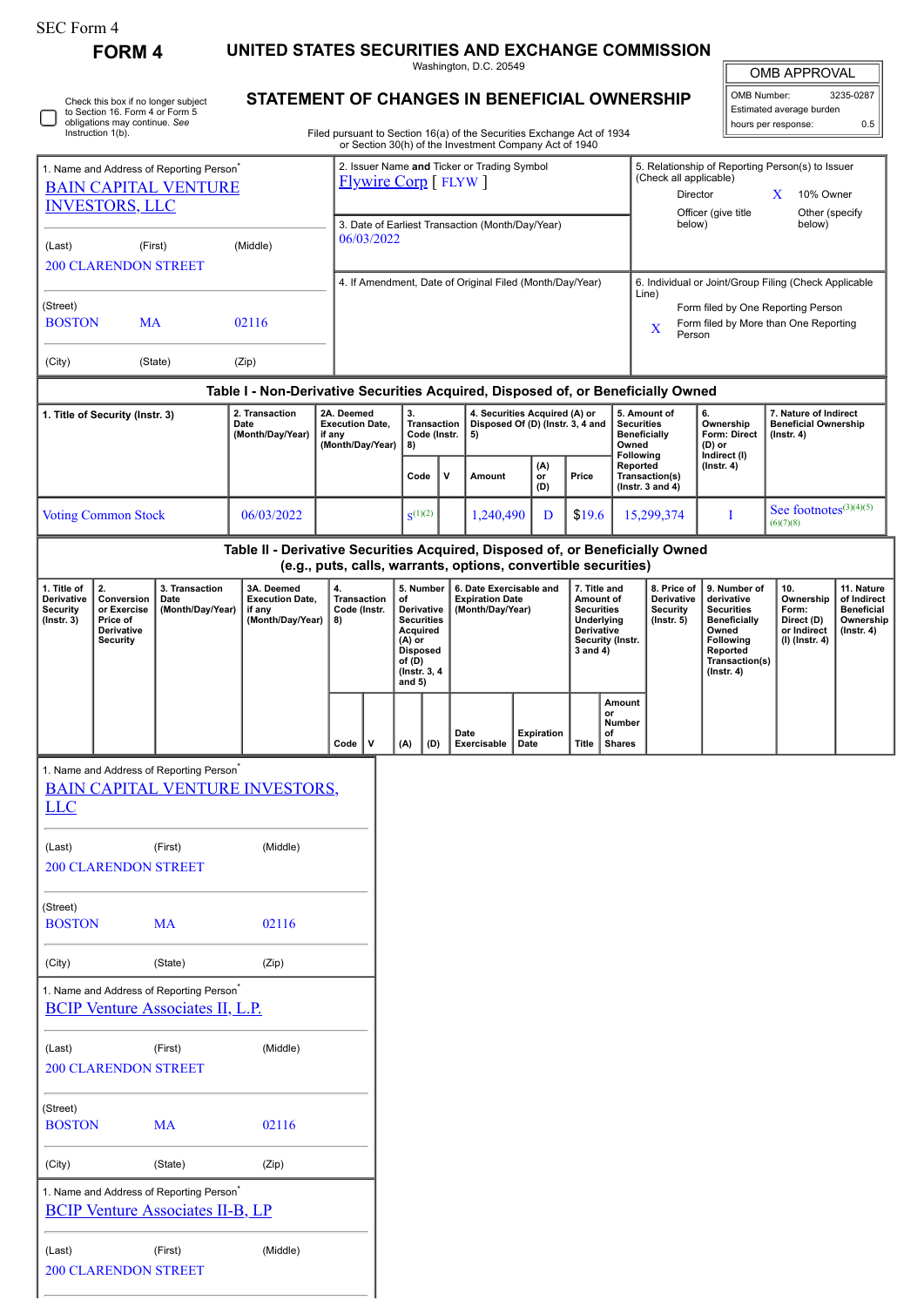| SEC Form 4 |  |
|------------|--|
|------------|--|

**FORM 4 UNITED STATES SECURITIES AND EXCHANGE COMMISSION**

Washington, D.C. 20549

| Check this box if no longer subject |
|-------------------------------------|
| to Section 16. Form 4 or Form 5     |
| obligations may continue. See       |
| Instruction 1(b).                   |

200 CLARENDON STREET

## **STATEMENT OF CHANGES IN BENEFICIAL OWNERSHIP**

Filed pursuant to Section 16(a) of the Securities Exchange Act of 1934 or Section 30(h) of the Investment Company Act of 1940

| <b>OMB APPROVAL</b> |           |  |  |  |  |
|---------------------|-----------|--|--|--|--|
| OMB Number:         | 3235-0287 |  |  |  |  |

Estimated average burden hours per response: 0.5

| 1. Name and Address of Reporting Person <sup>®</sup><br><b>BAIN CAPITAL VENTURE</b> |                                         |                                                                                                 |                                                                                  | 2. Issuer Name and Ticker or Trading Symbol<br><b>Flywire Corp</b> [FLYW] |                                                                |                                             |                    |                                                                   |                                                                |                                               | 5. Relationship of Reporting Person(s) to Issuer<br>(Check all applicable)<br>Director<br>X<br>10% Owner |                                     |                                          |                                       |                                                       |                           |  |
|-------------------------------------------------------------------------------------|-----------------------------------------|-------------------------------------------------------------------------------------------------|----------------------------------------------------------------------------------|---------------------------------------------------------------------------|----------------------------------------------------------------|---------------------------------------------|--------------------|-------------------------------------------------------------------|----------------------------------------------------------------|-----------------------------------------------|----------------------------------------------------------------------------------------------------------|-------------------------------------|------------------------------------------|---------------------------------------|-------------------------------------------------------|---------------------------|--|
| <b>INVESTORS, LLC</b>                                                               |                                         |                                                                                                 |                                                                                  |                                                                           |                                                                |                                             |                    |                                                                   |                                                                |                                               |                                                                                                          | Officer (give title                 | Other (specify                           |                                       |                                                       |                           |  |
| (Last)                                                                              | (First)                                 |                                                                                                 | (Middle)                                                                         |                                                                           | 3. Date of Earliest Transaction (Month/Day/Year)<br>06/03/2022 |                                             |                    |                                                                   |                                                                |                                               | below)                                                                                                   |                                     | below)                                   |                                       |                                                       |                           |  |
|                                                                                     | <b>200 CLARENDON STREET</b>             |                                                                                                 |                                                                                  |                                                                           |                                                                |                                             |                    |                                                                   |                                                                |                                               |                                                                                                          |                                     |                                          |                                       |                                                       |                           |  |
|                                                                                     |                                         |                                                                                                 |                                                                                  |                                                                           |                                                                |                                             |                    |                                                                   | 4. If Amendment, Date of Original Filed (Month/Day/Year)       |                                               |                                                                                                          |                                     | Line)                                    |                                       | 6. Individual or Joint/Group Filing (Check Applicable |                           |  |
| (Street)<br><b>BOSTON</b>                                                           | <b>MA</b>                               |                                                                                                 | 02116                                                                            |                                                                           |                                                                |                                             |                    |                                                                   |                                                                |                                               |                                                                                                          |                                     |                                          |                                       | Form filed by One Reporting Person                    |                           |  |
|                                                                                     |                                         |                                                                                                 |                                                                                  |                                                                           |                                                                |                                             |                    |                                                                   |                                                                |                                               |                                                                                                          |                                     | X<br>Person                              |                                       | Form filed by More than One Reporting                 |                           |  |
| (City)                                                                              |                                         | (State)                                                                                         | (Zip)                                                                            |                                                                           |                                                                |                                             |                    |                                                                   |                                                                |                                               |                                                                                                          |                                     |                                          |                                       |                                                       |                           |  |
|                                                                                     |                                         |                                                                                                 | Table I - Non-Derivative Securities Acquired, Disposed of, or Beneficially Owned |                                                                           |                                                                |                                             |                    |                                                                   |                                                                |                                               |                                                                                                          |                                     |                                          |                                       |                                                       |                           |  |
|                                                                                     | 1. Title of Security (Instr. 3)         |                                                                                                 | 2. Transaction<br>Date                                                           |                                                                           | 2A. Deemed<br><b>Execution Date,</b>                           | 3.<br><b>Transaction</b>                    |                    | 4. Securities Acquired (A) or<br>Disposed Of (D) (Instr. 3, 4 and |                                                                |                                               |                                                                                                          | 5. Amount of<br><b>Securities</b>   | 6.<br>Ownership                          | 7. Nature of Indirect                 |                                                       |                           |  |
|                                                                                     |                                         |                                                                                                 | (Month/Day/Year)                                                                 | if any                                                                    | (Month/Day/Year)                                               |                                             | Code (Instr.<br>8) |                                                                   | 5)                                                             |                                               |                                                                                                          | Owned                               | <b>Beneficially</b>                      | <b>Form: Direct</b><br>(D) or         | <b>Beneficial Ownership</b><br>$($ lnstr. 4 $)$       |                           |  |
|                                                                                     |                                         |                                                                                                 |                                                                                  |                                                                           |                                                                |                                             |                    |                                                                   | (A)                                                            |                                               |                                                                                                          |                                     | Following<br>Reported                    | Indirect (I)<br>$($ lnstr. 4 $)$      |                                                       |                           |  |
|                                                                                     |                                         |                                                                                                 |                                                                                  |                                                                           |                                                                |                                             | Code<br>v          |                                                                   | Amount                                                         | or<br>(D)                                     | Price                                                                                                    |                                     | Transaction(s)<br>( $lnstr. 3 and 4$ )   |                                       |                                                       |                           |  |
|                                                                                     | <b>Voting Common Stock</b>              |                                                                                                 | 06/03/2022                                                                       |                                                                           |                                                                |                                             | $S^{(1)(2)}$       |                                                                   | 1,240,490                                                      | D                                             | \$19.6                                                                                                   |                                     | 15,299,374                               | Ι                                     | See footnotes $(3)(4)(5)$<br>(6)(7)(8)                |                           |  |
|                                                                                     |                                         |                                                                                                 | Table II - Derivative Securities Acquired, Disposed of, or Beneficially Owned    |                                                                           |                                                                |                                             |                    |                                                                   |                                                                |                                               |                                                                                                          |                                     |                                          |                                       |                                                       |                           |  |
|                                                                                     |                                         |                                                                                                 |                                                                                  |                                                                           |                                                                |                                             |                    |                                                                   | (e.g., puts, calls, warrants, options, convertible securities) |                                               |                                                                                                          |                                     |                                          |                                       |                                                       |                           |  |
| 1. Title of<br>Derivative                                                           | 2.<br>Conversion                        | 3. Transaction<br>Date                                                                          | 3A. Deemed<br><b>Execution Date,</b>                                             | 4.                                                                        | <b>Transaction</b>                                             | of                                          | 5. Number          |                                                                   | 6. Date Exercisable and<br><b>Expiration Date</b>              |                                               | 7. Title and<br>Amount of                                                                                |                                     | 8. Price of<br>Derivative                | 9. Number of<br>derivative            | 10.<br>Ownership                                      | 11. Nature<br>of Indirect |  |
| <b>Security</b><br>$($ Instr. 3 $)$                                                 | or Exercise<br>Price of                 | (Month/Day/Year)                                                                                | if any<br>(Month/Day/Year)                                                       | 8)                                                                        | Code (Instr.                                                   | Derivative<br><b>Securities</b><br>Acquired |                    | (Month/Day/Year)                                                  |                                                                | <b>Securities</b><br>Underlying<br>Derivative |                                                                                                          | <b>Security</b><br>$($ Instr. 5 $)$ | <b>Securities</b><br><b>Beneficially</b> | Form:<br>Direct (D)                   | <b>Beneficial</b><br>Ownership                        |                           |  |
|                                                                                     | Derivative<br><b>Security</b>           |                                                                                                 |                                                                                  |                                                                           |                                                                | $(A)$ or                                    | <b>Disposed</b>    |                                                                   |                                                                |                                               | 3 and 4)                                                                                                 | Security (Instr.                    |                                          | Owned<br><b>Following</b><br>Reported | or Indirect<br>$($ lnstr. 4 $)$<br>(I) (Instr. 4)     |                           |  |
|                                                                                     |                                         |                                                                                                 |                                                                                  |                                                                           |                                                                | of (D)                                      | (Instr. 3, 4)      |                                                                   |                                                                |                                               |                                                                                                          |                                     |                                          | Transaction(s)<br>$($ Instr. 4 $)$    |                                                       |                           |  |
|                                                                                     |                                         |                                                                                                 |                                                                                  |                                                                           |                                                                | and $5)$                                    |                    |                                                                   |                                                                |                                               |                                                                                                          | Amount                              |                                          |                                       |                                                       |                           |  |
|                                                                                     |                                         |                                                                                                 |                                                                                  |                                                                           |                                                                |                                             |                    |                                                                   |                                                                |                                               |                                                                                                          | or<br>Number                        |                                          |                                       |                                                       |                           |  |
|                                                                                     |                                         |                                                                                                 |                                                                                  |                                                                           | v<br>$Code \vert$                                              | (A)                                         | (D)                | Date                                                              | Date<br>Exercisable                                            | <b>Expiration</b>                             | <b>Title</b>                                                                                             | οf<br><b>Shares</b>                 |                                          |                                       |                                                       |                           |  |
|                                                                                     |                                         | 1. Name and Address of Reporting Person <sup>®</sup>                                            |                                                                                  |                                                                           |                                                                |                                             |                    |                                                                   |                                                                |                                               |                                                                                                          |                                     |                                          |                                       |                                                       |                           |  |
| <b>LLC</b>                                                                          |                                         |                                                                                                 | <b>BAIN CAPITAL VENTURE INVESTORS,</b>                                           |                                                                           |                                                                |                                             |                    |                                                                   |                                                                |                                               |                                                                                                          |                                     |                                          |                                       |                                                       |                           |  |
|                                                                                     |                                         |                                                                                                 |                                                                                  |                                                                           |                                                                |                                             |                    |                                                                   |                                                                |                                               |                                                                                                          |                                     |                                          |                                       |                                                       |                           |  |
| (Last)                                                                              |                                         | (First)                                                                                         | (Middle)                                                                         |                                                                           |                                                                |                                             |                    |                                                                   |                                                                |                                               |                                                                                                          |                                     |                                          |                                       |                                                       |                           |  |
|                                                                                     | <b>200 CLARENDON STREET</b>             |                                                                                                 |                                                                                  |                                                                           |                                                                |                                             |                    |                                                                   |                                                                |                                               |                                                                                                          |                                     |                                          |                                       |                                                       |                           |  |
| (Street)                                                                            |                                         |                                                                                                 |                                                                                  |                                                                           |                                                                |                                             |                    |                                                                   |                                                                |                                               |                                                                                                          |                                     |                                          |                                       |                                                       |                           |  |
| <b>BOSTON</b>                                                                       |                                         | <b>MA</b>                                                                                       | 02116                                                                            |                                                                           |                                                                |                                             |                    |                                                                   |                                                                |                                               |                                                                                                          |                                     |                                          |                                       |                                                       |                           |  |
|                                                                                     |                                         | (State)                                                                                         |                                                                                  |                                                                           |                                                                |                                             |                    |                                                                   |                                                                |                                               |                                                                                                          |                                     |                                          |                                       |                                                       |                           |  |
| (City)                                                                              |                                         |                                                                                                 | (Zip)                                                                            |                                                                           |                                                                |                                             |                    |                                                                   |                                                                |                                               |                                                                                                          |                                     |                                          |                                       |                                                       |                           |  |
|                                                                                     |                                         | 1. Name and Address of Reporting Person <sup>*</sup><br><b>BCIP Venture Associates II, L.P.</b> |                                                                                  |                                                                           |                                                                |                                             |                    |                                                                   |                                                                |                                               |                                                                                                          |                                     |                                          |                                       |                                                       |                           |  |
|                                                                                     |                                         |                                                                                                 |                                                                                  |                                                                           |                                                                |                                             |                    |                                                                   |                                                                |                                               |                                                                                                          |                                     |                                          |                                       |                                                       |                           |  |
| (Last)                                                                              |                                         | (First)                                                                                         | (Middle)                                                                         |                                                                           |                                                                |                                             |                    |                                                                   |                                                                |                                               |                                                                                                          |                                     |                                          |                                       |                                                       |                           |  |
|                                                                                     | <b>200 CLARENDON STREET</b>             |                                                                                                 |                                                                                  |                                                                           |                                                                |                                             |                    |                                                                   |                                                                |                                               |                                                                                                          |                                     |                                          |                                       |                                                       |                           |  |
| (Street)                                                                            |                                         |                                                                                                 |                                                                                  |                                                                           |                                                                |                                             |                    |                                                                   |                                                                |                                               |                                                                                                          |                                     |                                          |                                       |                                                       |                           |  |
| <b>BOSTON</b>                                                                       |                                         | <b>MA</b>                                                                                       | 02116                                                                            |                                                                           |                                                                |                                             |                    |                                                                   |                                                                |                                               |                                                                                                          |                                     |                                          |                                       |                                                       |                           |  |
| (City)                                                                              |                                         | (State)                                                                                         | (Zip)                                                                            |                                                                           |                                                                |                                             |                    |                                                                   |                                                                |                                               |                                                                                                          |                                     |                                          |                                       |                                                       |                           |  |
|                                                                                     |                                         | 1. Name and Address of Reporting Person <sup>*</sup>                                            |                                                                                  |                                                                           |                                                                |                                             |                    |                                                                   |                                                                |                                               |                                                                                                          |                                     |                                          |                                       |                                                       |                           |  |
|                                                                                     | <b>BCIP Venture Associates II-B, LP</b> |                                                                                                 |                                                                                  |                                                                           |                                                                |                                             |                    |                                                                   |                                                                |                                               |                                                                                                          |                                     |                                          |                                       |                                                       |                           |  |
| (Last)                                                                              |                                         | (First)                                                                                         | (Middle)                                                                         |                                                                           |                                                                |                                             |                    |                                                                   |                                                                |                                               |                                                                                                          |                                     |                                          |                                       |                                                       |                           |  |